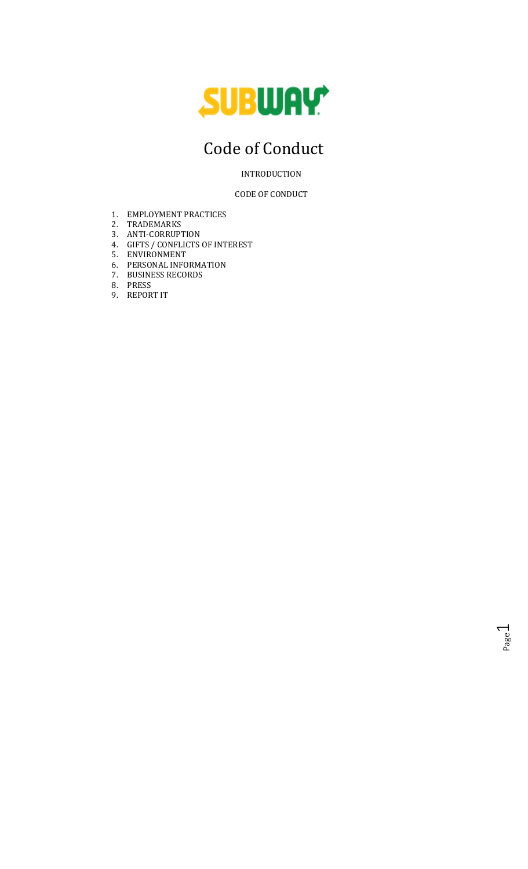

# Code of Conduct

INTRODUCTION

CODE OF CONDUCT

- 1. EMPLOYMENT PRACTICES
- 2. TRADEMARKS
- 3. ANTI-CORRUPTION
- 4. GIFTS / CONFLICTS OF INTEREST
- 5. ENVIRONMENT
- 6. PERSONAL INFORMATION
- 7. BUSINESS RECORDS
- 8. PRESS
- 9. REPORT IT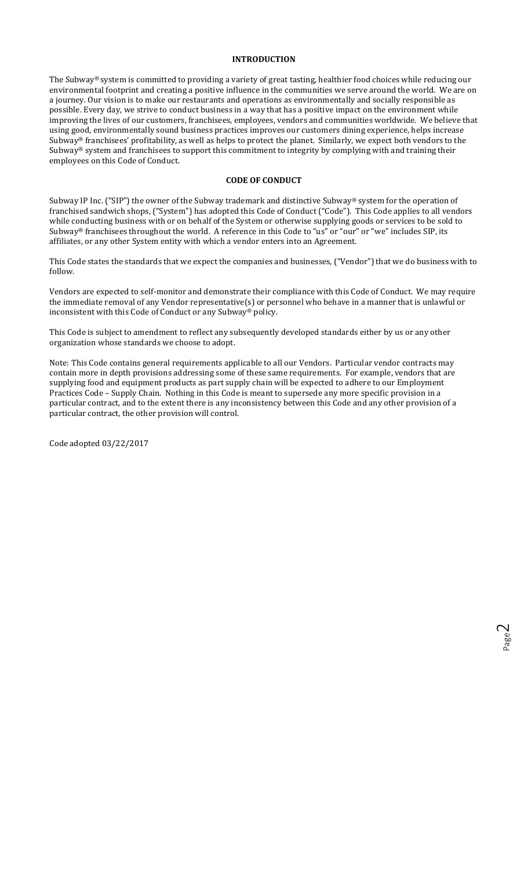# INTRODUCTION

The Subway® system is committed to providing a variety of great tasting, healthier food choices while reducing our environmental footprint and creating a positive influence in the communities we serve around the world. We are on a journey. Our vision is to make our restaurants and operations as environmentally and socially responsible as possible. Every day, we strive to conduct business in a way that has a positive impact on the environment while improving the lives of our customers, franchisees, employees, vendors and communities worldwide. We believe that using good, environmentally sound business practices improves our customers dining experience, helps increase Subway® franchisees' profitability, as well as helps to protect the planet. Similarly, we expect both vendors to the Subway® system and franchisees to support this commitment to integrity by complying with and training their employees on this Code of Conduct.

#### CODE OF CONDUCT

Subway IP Inc. ("SIP") the owner of the Subway trademark and distinctive Subway® system for the operation of franchised sandwich shops, ("System") has adopted this Code of Conduct ("Code"). This Code applies to all vendors while conducting business with or on behalf of the System or otherwise supplying goods or services to be sold to Subway® franchisees throughout the world. A reference in this Code to "us" or "our" or "we" includes SIP, its affiliates, or any other System entity with which a vendor enters into an Agreement.

This Code states the standards that we expect the companies and businesses, ("Vendor") that we do business with to follow.

Vendors are expected to self-monitor and demonstrate their compliance with this Code of Conduct. We may require the immediate removal of any Vendor representative(s) or personnel who behave in a manner that is unlawful or inconsistent with this Code of Conduct or any Subway® policy.

This Code is subject to amendment to reflect any subsequently developed standards either by us or any other organization whose standards we choose to adopt.

Note: This Code contains general requirements applicable to all our Vendors. Particular vendor contracts may contain more in depth provisions addressing some of these same requirements. For example, vendors that are supplying food and equipment products as part supply chain will be expected to adhere to our Employment Practices Code – Supply Chain. Nothing in this Code is meant to supersede any more specific provision in a particular contract, and to the extent there is any inconsistency between this Code and any other provision of a particular contract, the other provision will control.

Code adopted 03/22/2017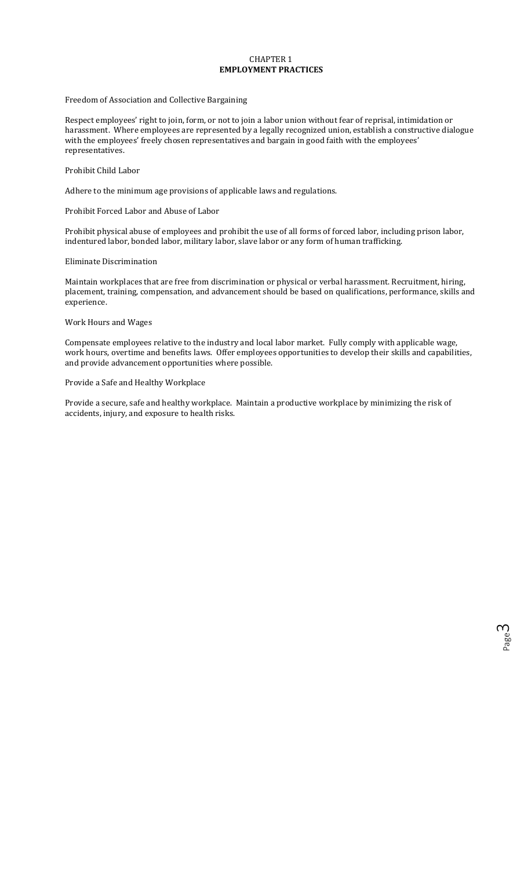# CHAPTER 1 EMPLOYMENT PRACTICES

# Freedom of Association and Collective Bargaining

Respect employees' right to join, form, or not to join a labor union without fear of reprisal, intimidation or harassment. Where employees are represented by a legally recognized union, establish a constructive dialogue with the employees' freely chosen representatives and bargain in good faith with the employees' representatives.

#### Prohibit Child Labor

Adhere to the minimum age provisions of applicable laws and regulations.

#### Prohibit Forced Labor and Abuse of Labor

Prohibit physical abuse of employees and prohibit the use of all forms of forced labor, including prison labor, indentured labor, bonded labor, military labor, slave labor or any form of human trafficking.

## Eliminate Discrimination

Maintain workplaces that are free from discrimination or physical or verbal harassment. Recruitment, hiring, placement, training, compensation, and advancement should be based on qualifications, performance, skills and experience.

# Work Hours and Wages

Compensate employees relative to the industry and local labor market. Fully comply with applicable wage, work hours, overtime and benefits laws. Offer employees opportunities to develop their skills and capabilities, and provide advancement opportunities where possible.

# Provide a Safe and Healthy Workplace

Provide a secure, safe and healthy workplace. Maintain a productive workplace by minimizing the risk of accidents, injury, and exposure to health risks.

Page

ന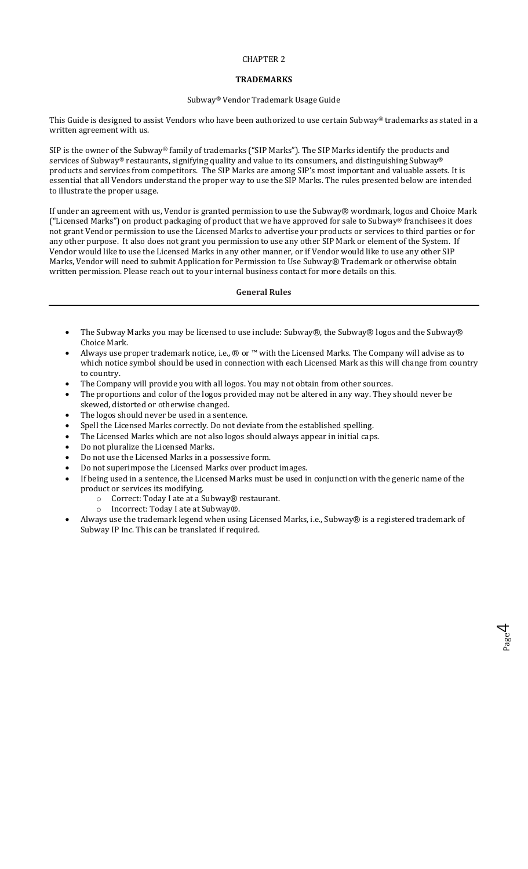# CHAPTER 2

# **TRADEMARKS**

# Subway® Vendor Trademark Usage Guide

This Guide is designed to assist Vendors who have been authorized to use certain Subway® trademarks as stated in a written agreement with us.

SIP is the owner of the Subway® family of trademarks ("SIP Marks"). The SIP Marks identify the products and services of Subway® restaurants, signifying quality and value to its consumers, and distinguishing Subway® products and services from competitors. The SIP Marks are among SIP's most important and valuable assets. It is essential that all Vendors understand the proper way to use the SIP Marks. The rules presented below are intended to illustrate the proper usage.

If under an agreement with us, Vendor is granted permission to use the Subway® wordmark, logos and Choice Mark ("Licensed Marks") on product packaging of product that we have approved for sale to Subway® franchisees it does not grant Vendor permission to use the Licensed Marks to advertise your products or services to third parties or for any other purpose. It also does not grant you permission to use any other SIP Mark or element of the System. If Vendor would like to use the Licensed Marks in any other manner, or if Vendor would like to use any other SIP Marks, Vendor will need to submit Application for Permission to Use Subway® Trademark or otherwise obtain written permission. Please reach out to your internal business contact for more details on this.

# General Rules

- The Subway Marks you may be licensed to use include: Subway®, the Subway® logos and the Subway® Choice Mark.
- Always use proper trademark notice, i.e., ® or ™ with the Licensed Marks. The Company will advise as to which notice symbol should be used in connection with each Licensed Mark as this will change from country to country.
- The Company will provide you with all logos. You may not obtain from other sources.
- The proportions and color of the logos provided may not be altered in any way. They should never be skewed, distorted or otherwise changed.
- The logos should never be used in a sentence.
- Spell the Licensed Marks correctly. Do not deviate from the established spelling.
- The Licensed Marks which are not also logos should always appear in initial caps.
- Do not pluralize the Licensed Marks.
- Do not use the Licensed Marks in a possessive form.
- Do not superimpose the Licensed Marks over product images.
- If being used in a sentence, the Licensed Marks must be used in conjunction with the generic name of the product or services its modifying.
	- o Correct: Today I ate at a Subway® restaurant.
	- o Incorrect: Today I ate at Subway®.
- Always use the trademark legend when using Licensed Marks, i.e., Subway® is a registered trademark of Subway IP Inc. This can be translated if required.

Page

4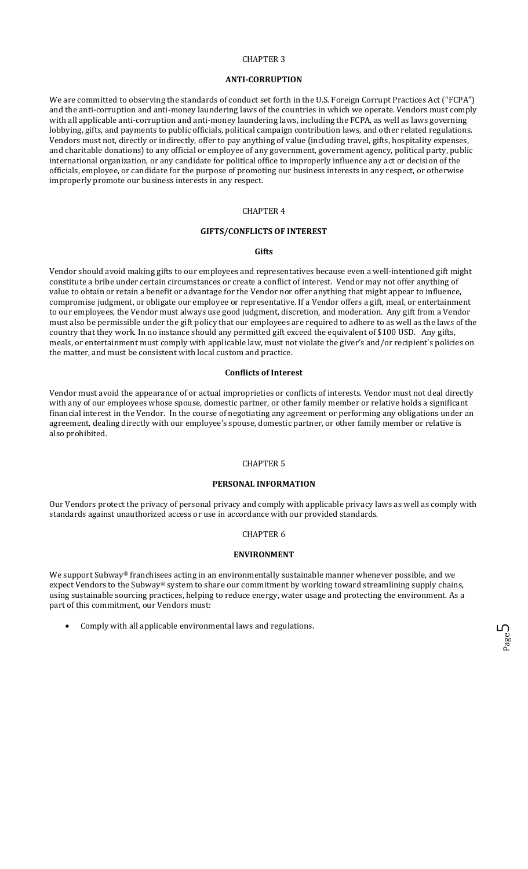#### CHAPTER 3

#### ANTI-CORRUPTION

We are committed to observing the standards of conduct set forth in the U.S. Foreign Corrupt Practices Act ("FCPA") and the anti-corruption and anti-money laundering laws of the countries in which we operate. Vendors must comply with all applicable anti-corruption and anti-money laundering laws, including the FCPA, as well as laws governing lobbying, gifts, and payments to public officials, political campaign contribution laws, and other related regulations. Vendors must not, directly or indirectly, offer to pay anything of value (including travel, gifts, hospitality expenses, and charitable donations) to any official or employee of any government, government agency, political party, public international organization, or any candidate for political office to improperly influence any act or decision of the officials, employee, or candidate for the purpose of promoting our business interests in any respect, or otherwise improperly promote our business interests in any respect.

#### CHAPTER 4

#### GIFTS/CONFLICTS OF INTEREST

# **Gifts**

Vendor should avoid making gifts to our employees and representatives because even a well-intentioned gift might constitute a bribe under certain circumstances or create a conflict of interest. Vendor may not offer anything of value to obtain or retain a benefit or advantage for the Vendor nor offer anything that might appear to influence, compromise judgment, or obligate our employee or representative. If a Vendor offers a gift, meal, or entertainment to our employees, the Vendor must always use good judgment, discretion, and moderation. Any gift from a Vendor must also be permissible under the gift policy that our employees are required to adhere to as well as the laws of the country that they work. In no instance should any permitted gift exceed the equivalent of \$100 USD. Any gifts, meals, or entertainment must comply with applicable law, must not violate the giver's and/or recipient's policies on the matter, and must be consistent with local custom and practice.

#### Conflicts of Interest

Vendor must avoid the appearance of or actual improprieties or conflicts of interests. Vendor must not deal directly with any of our employees whose spouse, domestic partner, or other family member or relative holds a significant financial interest in the Vendor. In the course of negotiating any agreement or performing any obligations under an agreement, dealing directly with our employee's spouse, domestic partner, or other family member or relative is also prohibited.

#### CHAPTER 5

#### PERSONAL INFORMATION

Our Vendors protect the privacy of personal privacy and comply with applicable privacy laws as well as comply with standards against unauthorized access or use in accordance with our provided standards.

# CHAPTER 6

#### ENVIRONMENT

We support Subway® franchisees acting in an environmentally sustainable manner whenever possible, and we expect Vendors to the Subway® system to share our commitment by working toward streamlining supply chains, using sustainable sourcing practices, helping to reduce energy, water usage and protecting the environment. As a part of this commitment, our Vendors must:

Comply with all applicable environmental laws and regulations.